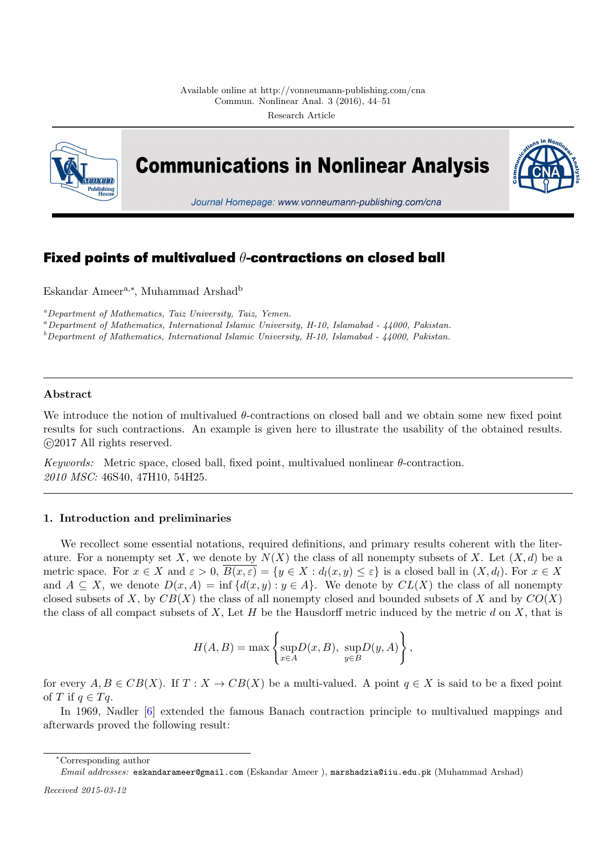

**Communications in Nonlinear Analysis** 



Journal Homepage: www.vonneumann-publishing.com/cna

# **Fixed points of multivalued** *θ***-contractions on closed ball**

Eskandar Ameera,*<sup>∗</sup>* , Muhammad Arshad<sup>b</sup>

*<sup>a</sup>Department of Mathematics, Taiz University, Taiz, Yemen.*

*<sup>a</sup>Department of Mathematics, International Islamic University, H-10, Islamabad - 44000, Pakistan.*

*<sup>b</sup>Department of Mathematics, International Islamic University, H-10, Islamabad - 44000, Pakistan.*

## **Abstract**

We introduce the notion of multivalued *θ*-contractions on closed ball and we obtain some new fixed point results for such contractions. An example is given here to illustrate the usability of the obtained results. *⃝*c 2017 All rights reserved.

*Keywords:* Metric space, closed ball, fixed point, multivalued nonlinear *θ*-contraction. *2010 MSC:* 46S40, 47H10, 54H25.

## **1. Introduction and preliminaries**

We recollect some essential notations, required definitions, and primary results coherent with the literature. For a nonempty set X, we denote by  $N(X)$  the class of all nonempty subsets of X. Let  $(X, d)$  be a metric space. For  $x \in X$  and  $\varepsilon > 0$ ,  $B(x, \varepsilon) = \{y \in X : d_l(x, y) \leq \varepsilon\}$  is a closed ball in  $(X, d_l)$ . For  $x \in X$ and  $A \subseteq X$ , we denote  $D(x, A) = \inf \{d(x, y) : y \in A\}$ . We denote by  $CL(X)$  the class of all nonempty closed subsets of *X*, by  $CB(X)$  the class of all nonempty closed and bounded subsets of *X* and by  $CO(X)$ the class of all compact subsets of *X*, Let *H* be the Hausdorff metric induced by the metric *d* on *X*, that is

$$
H(A, B) = \max \left\{ \sup_{x \in A} D(x, B), \sup_{y \in B} D(y, A) \right\},\,
$$

for every  $A, B \in CB(X)$ . If  $T : X \to CB(X)$  be a multi-valued. A point  $q \in X$  is said to be a fixed point of *T* if  $q \in T_q$ .

In 1969, Nadler [6] extended the famous Banach contraction principle to multivalued mappings and afterwards proved the following result:

*<sup>∗</sup>*Corresponding autho[r](#page-7-0)

*Email addresses:* eskandarameer@gmail.com (Eskandar Ameer ), marshadzia@iiu.edu.pk (Muhammad Arshad)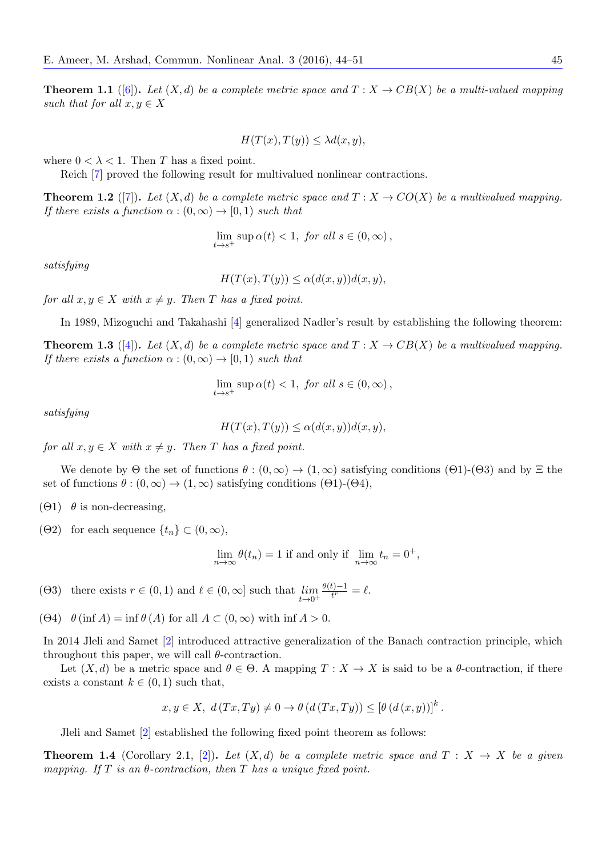**Theorem 1.1** ([6]). Let  $(X, d)$  be a complete metric space and  $T : X \to CB(X)$  be a multi-valued mapping *such that for all*  $x, y \in X$ 

$$
H(T(x), T(y)) \leq \lambda d(x, y),
$$

where  $0 < \lambda < 1$ . Then *T* has a fixed point.

Reich [7] proved the following result for multivalued nonlinear contractions.

**Theorem 1.2** ([7]). Let  $(X, d)$  be a complete metric space and  $T : X \to CO(X)$  be a multivalued mapping. *If there exists a function*  $\alpha : (0, \infty) \to [0, 1)$  *such that* 

$$
\lim_{t \to s^+} \sup \alpha(t) < 1, \text{ for all } s \in (0, \infty),
$$

<span id="page-1-3"></span>*satisfying*

 $H(T(x), T(y)) \leq \alpha(d(x, y))d(x, y),$ 

*for all*  $x, y \in X$  *with*  $x \neq y$ *. Then T has a fixed point.* 

In 1989, Mizoguchi and Takahashi [4] generalized Nadler's result by establishing the following theorem:

**Theorem 1.3** ([4]). Let  $(X, d)$  be a complete metric space and  $T : X \to CB(X)$  be a multivalued mapping. *If there exists a function*  $\alpha : (0, \infty) \to (0, 1)$  *such that* 

$$
\lim_{t \to s^+} \sup \alpha(t) < 1, \text{ for all } s \in (0, \infty),
$$

<span id="page-1-1"></span>*satisfying*

$$
H(T(x), T(y)) \le \alpha(d(x, y))d(x, y),
$$

*for all*  $x, y \in X$  *with*  $x \neq y$ *. Then T has a fixed point.* 

We denote by  $\Theta$  the set of functions  $\theta$ :  $(0,\infty) \to (1,\infty)$  satisfying conditions  $(\Theta1)$ - $(\Theta3)$  and by  $\Xi$  the set of functions  $\theta$  :  $(0, \infty) \rightarrow (1, \infty)$  satisfying conditions  $(\Theta 1)$ - $(\Theta 4)$ ,

(Θ1) *θ* is non-decreasing,

 $(\Theta 2)$  for each sequence  $\{t_n\} \subset (0,\infty)$ ,

$$
\lim_{n \to \infty} \theta(t_n) = 1
$$
 if and only if  $\lim_{n \to \infty} t_n = 0^+,$ 

(Θ3) there exists  $r \in (0, 1)$  and  $\ell \in (0, \infty]$  such that *lim t→*0<sup>+</sup>  $\frac{\theta(t)-1}{t^r} = \ell.$ 

 $(\Theta 4)$   $\theta$  (inf *A*) = inf  $\theta$  (*A*) for all  $A \subset (0, \infty)$  with inf  $A > 0$ .

In 2014 Jleli and Samet [2] introduced attractive generalization of the Banach contraction principle, which throughout this paper, we will call *θ*-contraction.

Let  $(X, d)$  be a metric space and  $\theta \in \Theta$ . A mapping  $T : X \to X$  is said to be a  $\theta$ -contraction, if there exists a constant  $k \in (0,1)$  $k \in (0,1)$  such that,

$$
x, y \in X, d(Tx, Ty) \neq 0 \to \theta(d(Tx, Ty)) \leq [\theta(d(x, y))]^{k}.
$$

Jleli and Samet [2] established the following fixed point theorem as follows:

<span id="page-1-2"></span><span id="page-1-0"></span>**Theorem 1.4** (Corollary 2.1, [2]). Let  $(X,d)$  be a complete metric space and  $T: X \rightarrow X$  be a given *mapping. If T is an θ-contraction, then T has a unique fixed point.*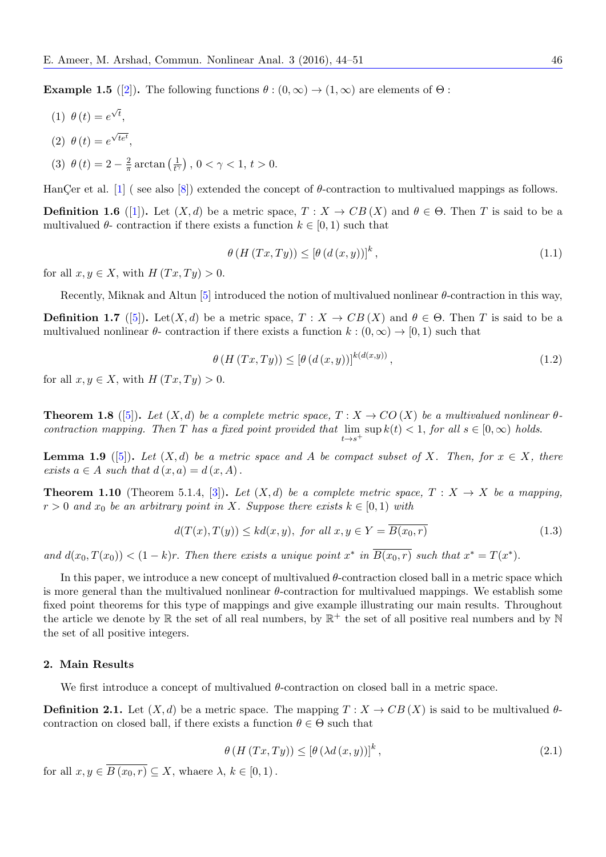**Example 1.5** ([2]). The following functions  $\theta$  :  $(0,\infty) \rightarrow (1,\infty)$  are elements of  $\Theta$  :

$$
(1) \ \theta(t) = e^{\sqrt{t}},
$$

- (2)  $\theta(t) = e^{\sqrt{te^t}},$  $\theta(t) = e^{\sqrt{te^t}},$  $\theta(t) = e^{\sqrt{te^t}},$
- (3)  $\theta(t) = 2 \frac{2}{\pi}$  $\frac{2}{\pi}$  arctan  $\left(\frac{1}{t^{\gamma}}\right)$  $\frac{1}{t^{\gamma}}$ , 0 <  $\gamma$  < 1, t > 0.

HanCer et al.  $[1]$  (see also [8]) extended the concept of  $\theta$ -contraction to multivalued mappings as follows.

**Definition 1.6** ([1]). Let  $(X,d)$  be a metric space,  $T : X \to CB(X)$  and  $\theta \in \Theta$ . Then *T* is said to be a multivalued  $\theta$ - contraction if there exists a function  $k \in [0, 1)$  such that

$$
\theta\left(H\left(Tx,Ty\right)\right) \leq \left[\theta\left(d\left(x,y\right)\right)\right]^k,\tag{1.1}
$$

<span id="page-2-0"></span>for all  $x, y \in X$ , with  $H(Tx, Ty) > 0$ .

Recently, Miknak and Altun [5] introduced the notion of multivalued nonlinear *θ*-contraction in this way,

**Definition 1.7** ([5]). Let(*X, d*) be a metric space,  $T : X \to CB(X)$  and  $\theta \in \Theta$ . Then *T* is said to be a multivalued nonlinear  $\theta$ - contraction if there exists a function  $k : (0, \infty) \to [0, 1)$  such that

$$
\theta\left(H\left(Tx,Ty\right)\right) \leq \left[\theta\left(d\left(x,y\right)\right)\right]^{k\left(d\left(x,y\right)\right)},\tag{1.2}
$$

for all  $x, y \in X$ , with  $H(Tx, Ty) > 0$ .

**Theorem 1.8** ([5]). Let  $(X, d)$  be a complete metric space,  $T: X \to CO(X)$  be a multivalued nonlinear  $\theta$ *contraction mapping. Then T has a fixed point provided that* lim *t→s*<sup>+</sup>  $\sup k(t) < 1$ *, for all*  $s \in [0, \infty)$  *holds.* 

**Lemma 1.9** ([5]). Let  $(X, d)$  be a metric space and A be compact subset of X. Then, for  $x \in X$ , there *exists*  $a \in A$  *suc[h t](#page-7-2)hat*  $d(x, a) = d(x, A)$ .

**Theorem 1.10** (Theorem 5.1.4, [3]). Let  $(X, d)$  be a complete metric space,  $T : X \to X$  be a mapping,  $r > 0$  *and*  $x_0$  *b[e a](#page-7-2)n arbitrary point in X. Suppose there exists*  $k \in [0, 1)$  *with* 

$$
d(T(x),T(y)) \le kd(x,y), \text{ for all } x, y \in Y = \overline{B(x_0,r)} \tag{1.3}
$$

and  $d(x_0, T(x_0)) < (1 - k)r$ . Then there exists a unique point  $x^*$  in  $B(x_0, r)$  such that  $x^* = T(x^*)$ .

In this paper, we introduce a new concept of multivalued *θ*-contraction closed ball in a metric space which is more general than the multivalued nonlinear *θ*-contraction for multivalued mappings. We establish some fixed point theorems for this type of mappings and give example illustrating our main results. Throughout the article we denote by  $\mathbb R$  the set of all real numbers, by  $\mathbb R^+$  the set of all positive real numbers and by  $\mathbb N$ the set of all positive integers.

#### **2. Main Results**

We first introduce a concept of multivalued *θ*-contraction on closed ball in a metric space.

**Definition 2.1.** Let  $(X, d)$  be a metric space. The mapping  $T : X \to CB(X)$  is said to be multivalued  $\theta$ contraction on closed ball, if there exists a function  $\theta \in \Theta$  such that

$$
\theta\left(H\left(Tx,Ty\right)\right) \leq \left[\theta\left(\lambda d\left(x,y\right)\right)\right]^k,\tag{2.1}
$$

for all  $x, y \in \overline{B(x_0, r)} \subseteq X$ , whaere  $\lambda, k \in [0, 1)$ .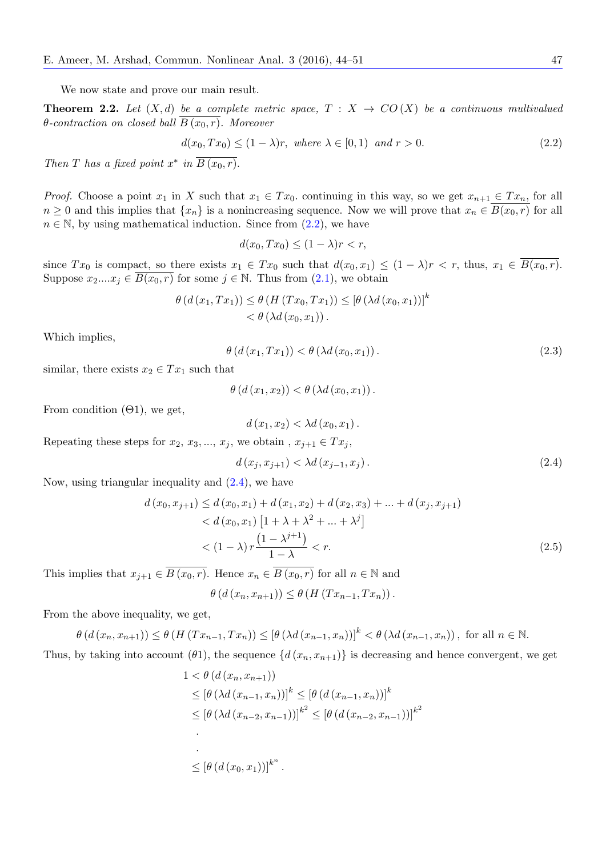We now state and prove our main result.

**Theorem 2.2.** Let  $(X,d)$  be a complete metric space,  $T: X \rightarrow CO(X)$  be a continuous multivalued  $\theta$ *-contraction on closed ball*  $B(x_0, r)$ *. Moreover* 

$$
d(x_0, Tx_0) \le (1 - \lambda)r, \text{ where } \lambda \in [0, 1) \text{ and } r > 0. \tag{2.2}
$$

*Then T has a fixed point*  $x^*$  *in*  $B(x_0, r)$ *.* 

*Proof.* Choose a point  $x_1$  in X such that  $x_1 \in Tx_0$ . continuing in this way, so we get  $x_{n+1} \in Tx_n$ , for all *n* ≥ 0 and this implies that  $\{x_n\}$  is a nonincreasing sequence. Now we will prove that  $x_n ∈ B(x_0,r)$  for all  $n \in \mathbb{N}$ , by using mathematical induction. Since from  $(2.2)$ , we have

<span id="page-3-0"></span>
$$
d(x_0, Tx_0) \le (1 - \lambda)r < r
$$

since  $Tx_0$  is compact, so there exists  $x_1 \in Tx_0$  such that  $d(x_0, x_1) \leq (1 - \lambda)r < r$ , thus,  $x_1 \in \overline{B(x_0, r)}$ . Suppose  $x_2...x_j \in B(x_0,r)$  for some  $j \in \mathbb{N}$ . Thus from  $(2.1)$ , we obtain

$$
\theta\left(d\left(x_1, Tx_1\right)\right) \leq \theta\left(H\left(Tx_0, Tx_1\right)\right) \leq \left[\theta\left(\lambda d\left(x_0, x_1\right)\right)\right]^k < \theta\left(\lambda d\left(x_0, x_1\right)\right).
$$

Which implies,

$$
\theta\left(d\left(x_1, T x_1\right)\right) < \theta\left(\lambda d\left(x_0, x_1\right)\right). \tag{2.3}
$$

similar, there exists  $x_2 \in Tx_1$  such that

$$
\theta\left(d\left(x_1,x_2\right)\right) < \theta\left(\lambda d\left(x_0,x_1\right)\right).
$$

From condition  $(\Theta 1)$ , we get,

$$
d(x_1, x_2) < \lambda d(x_0, x_1).
$$

Repeating these steps for  $x_2, x_3, \ldots, x_j$ , we obtain  $, x_{j+1} \in Tx_j$ ,

$$
d(x_j, x_{j+1}) < \lambda d(x_{j-1}, x_j).
$$
\n(2.4)

Now, using triangular inequality and  $(2.4)$ , we have

$$
d(x_0, x_{j+1}) \le d(x_0, x_1) + d(x_1, x_2) + d(x_2, x_3) + \dots + d(x_j, x_{j+1})
$$
  
< 
$$
< d(x_0, x_1) [1 + \lambda + \lambda^2 + \dots + \lambda^j]
$$
  
< 
$$
< (1 - \lambda) r \frac{(1 - \lambda^{j+1})}{1 - \lambda} < r.
$$
 (2.5)

This implies that  $x_{j+1} \in \overline{B(x_0, r)}$ . Hence  $x_n \in \overline{B(x_0, r)}$  for all  $n \in \mathbb{N}$  and

$$
\theta\left(d\left(x_n,x_{n+1}\right)\right) \leq \theta\left(H\left(Tx_{n-1},Tx_n\right)\right).
$$

From the above inequality, we get,

$$
\theta\left(d\left(x_n, x_{n+1}\right)\right) \le \theta\left(H\left(Tx_{n-1}, T x_n\right)\right) \le \left[\theta\left(\lambda d\left(x_{n-1}, x_n\right)\right)\right]^k < \theta\left(\lambda d\left(x_{n-1}, x_n\right)\right), \text{ for all } n \in \mathbb{N}.
$$

Thus, by taking into account ( $\theta$ 1), the sequence  $\{d(x_n, x_{n+1})\}$  is decreasing and hence convergent, we get

$$
1 < \theta (d (x_n, x_{n+1}))
$$
  
\n
$$
\leq [\theta (\lambda d (x_{n-1}, x_n))]^k \leq [\theta (d (x_{n-1}, x_n))]^k
$$
  
\n
$$
\leq [\theta (\lambda d (x_{n-2}, x_{n-1}))]^{k^2} \leq [\theta (d (x_{n-2}, x_{n-1}))]^{k^2}
$$
  
\n
$$
\leq [\theta (d (x_0, x_1))]^{k^n}.
$$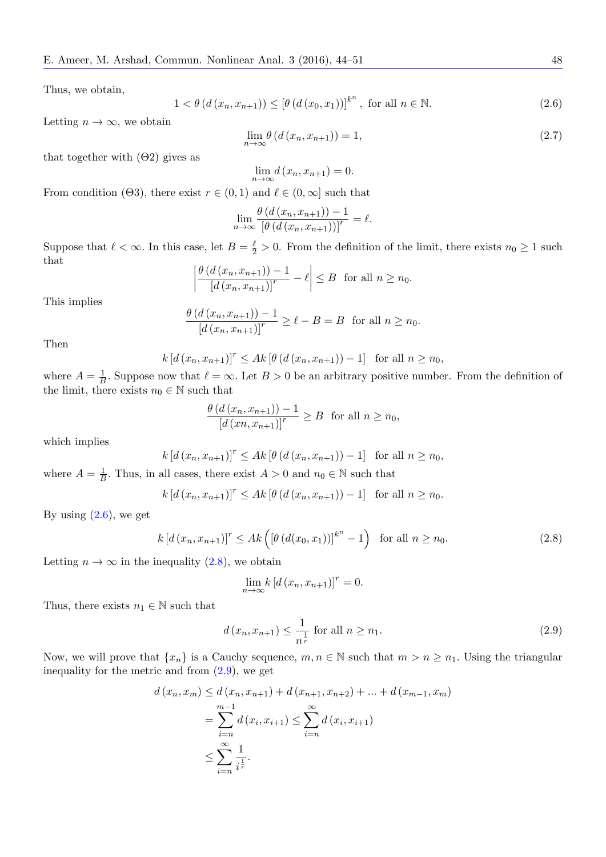Thus, we obtain,

<span id="page-4-0"></span>
$$
1 < \theta (d (x_n, x_{n+1})) \leq [\theta (d (x_0, x_1))]^{k^n}, \text{ for all } n \in \mathbb{N}.
$$
 (2.6)

Letting  $n \to \infty$ , we obtain

$$
\lim_{n \to \infty} \theta\left(d\left(x_n, x_{n+1}\right)\right) = 1,\tag{2.7}
$$

that together with  $(\Theta 2)$  gives as

$$
\lim_{n \to \infty} d(x_n, x_{n+1}) = 0.
$$

From condition ( $\Theta$ 3), there exist  $r \in (0,1)$  and  $\ell \in (0,\infty]$  such that

$$
\lim_{n \to \infty} \frac{\theta\left(d\left(x_n, x_{n+1}\right)\right) - 1}{\left[\theta\left(d\left(x_n, x_{n+1}\right)\right)\right]^r} = \ell.
$$

Suppose that  $\ell < \infty$ . In this case, let  $B = \frac{\ell}{2} > 0$ . From the definition of the limit, there exists  $n_0 \ge 1$  such that

$$
\left|\frac{\theta\left(d\left(x_n, x_{n+1}\right)\right) - 1}{\left[d\left(x_n, x_{n+1}\right)\right]^r} - \ell\right| \leq B \text{ for all } n \geq n_0.
$$

This implies

$$
\frac{\theta\left(d\left(x_n, x_{n+1}\right)\right) - 1}{\left[d\left(x_n, x_{n+1}\right)\right]^r} \ge \ell - B = B \text{ for all } n \ge n_0.
$$

Then

$$
k [d (x_n, x_{n+1})]^r \leq Ak [\theta (d (x_n, x_{n+1})) - 1]
$$
 for all  $n \geq n_0$ ,

where  $A = \frac{1}{B}$  $\frac{1}{B}$ . Suppose now that  $\ell = \infty$ . Let  $B > 0$  be an arbitrary positive number. From the definition of the limit, there exists  $n_0 \in \mathbb{N}$  such that

$$
\frac{\theta\left(d\left(x_n, x_{n+1}\right)\right) - 1}{\left[d\left(x_n, x_{n+1}\right)\right]^r} \ge B \quad \text{for all } n \ge n_0,
$$

which implies

$$
k [d (x_n, x_{n+1})]^r \leq Ak [\theta (d (x_n, x_{n+1})) - 1]
$$
 for all  $n \geq n_0$ ,

where  $A = \frac{1}{b}$  $\frac{1}{B}$ . Thus, in all cases, there exist *A* > 0 and *n*<sub>0</sub>  $\in$  N such that

$$
k [d (x_n, x_{n+1})]^r \leq Ak [\theta (d (x_n, x_{n+1})) - 1]
$$
 for all  $n \geq n_0$ .

By using  $(2.6)$ , we get

<span id="page-4-1"></span>
$$
k [d (x_n, x_{n+1})]^r \leq Ak \left( [\theta (d(x_0, x_1))]^{k^n} - 1 \right) \text{ for all } n \geq n_0. \tag{2.8}
$$

Letting  $n \to \infty$  in the inequality (2.8), we obtain

$$
\lim_{n \to \infty} k \left[ d \left( x_n, x_{n+1} \right) \right]^r = 0.
$$

Thus, there exists  $n_1 \in \mathbb{N}$  $n_1 \in \mathbb{N}$  $n_1 \in \mathbb{N}$  such that

<span id="page-4-2"></span>
$$
d(x_n, x_{n+1}) \le \frac{1}{n^{\frac{1}{r}}} \text{ for all } n \ge n_1. \tag{2.9}
$$

Now, we will prove that  $\{x_n\}$  is a Cauchy sequence,  $m, n \in \mathbb{N}$  such that  $m > n \geq n_1$ . Using the triangular inequality for the metric and from (2.9), we get

$$
d(x_n, x_m) \le d(x_n, x_{n+1}) + d(x_{n+1}, x_{n+2}) + \dots + d(x_{m-1}, x_m)
$$
  
= 
$$
\sum_{i=n}^{m-1} d(x_i, x_{i+1}) \le \sum_{i=n}^{\infty} d(x_i, x_{i+1})
$$
  

$$
\le \sum_{i=n}^{\infty} \frac{1}{i^{\frac{1}{r}}}.
$$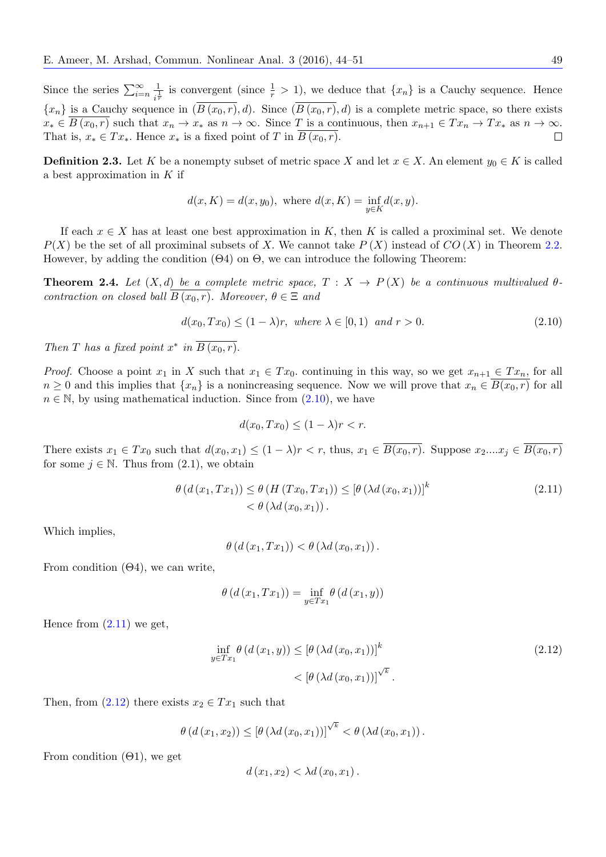Since the series  $\sum_{i=n}^{\infty} \frac{1}{i^{\frac{i}{n}}}$  $\frac{1}{i^{\overline{r}}}$  is convergent (since  $\frac{1}{r} > 1$ ), we deduce that  $\{x_n\}$  is a Cauchy sequence. Hence  ${x_n}$  is a Cauchy sequence in  $(\overline{B(x_0, r)}, d)$ . Since  $(\overline{B(x_0, r)}, d)$  is a complete metric space, so there exists  $x_* \in B(x_0, r)$  such that  $x_n \to x_*$  as  $n \to \infty$ . Since T is a continuous, then  $x_{n+1} \in Tx_n \to Tx_*$  as  $n \to \infty$ .<br>That is,  $x_* \in Tx_*$ . Hence  $x_*$  is a fixed point of T in  $\overline{B(x_0, r)}$ . That is,  $x_* \in Tx_*$ . Hence  $x_*$  is a fixed point of *T* in  $B(x_0, r)$ .

**Definition 2.3.** Let *K* be a nonempty subset of metric space *X* and let  $x \in X$ . An element  $y_0 \in K$  is called a best approximation in *K* if

$$
d(x, K) = d(x, y_0)
$$
, where  $d(x, K) = \inf_{y \in K} d(x, y)$ .

If each  $x \in X$  has at least one best approximation in K, then K is called a proximinal set. We denote  $P(X)$  be the set of all proximinal subsets of *X*. We cannot take  $P(X)$  instead of  $CO(X)$  in Theorem 2.2. However, by adding the condition (Θ4) on Θ*,* we can introduce the following Theorem:

**Theorem 2.4.** Let  $(X,d)$  be a complete metric space,  $T: X \rightarrow P(X)$  be a continuous multivalued  $\theta$ *contraction on closed ball*  $B(x_0, r)$ *. Moreover,*  $\theta \in \Xi$  *and* 

$$
d(x_0, Tx_0) \le (1 - \lambda)r, where \lambda \in [0, 1) and r > 0.
$$
\n
$$
(2.10)
$$

*Then T has a fixed point*  $x^*$  *in*  $B(x_0, r)$ *.* 

*Proof.* Choose a point  $x_1$  in  $X$  such that  $x_1 \in Tx_0$ . continuing in this way, so we get  $x_{n+1} \in Tx_n$ , for all  $n \geq 0$  and this implies that  $\{x_n\}$  is a nonincreasing sequence. Now we will prove that  $x_n \in B(x_0, r)$  for all  $n \in \mathbb{N}$ , by using mathematical induction. Since from  $(2.10)$ , we have

<span id="page-5-0"></span>
$$
d(x_0, Tx_0) \le (1 - \lambda)r < r.
$$

There exists  $x_1 \in Tx_0$  such that  $d(x_0, x_1) \leq (1 - \lambda)r < r$ , thus,  $x_1 \in \overline{B(x_0, r)}$ . Suppose  $x_2,...x_i \in \overline{B(x_0, r)}$ for some  $j \in \mathbb{N}$ . Thus from  $(2.1)$ , we obtain

$$
\theta\left(d\left(x_1, Tx_1\right)\right) \leq \theta\left(H\left(Tx_0, Tx_1\right)\right) \leq \left[\theta\left(\lambda d\left(x_0, x_1\right)\right)\right]^k
$$
\n
$$
< \theta\left(\lambda d\left(x_0, x_1\right)\right). \tag{2.11}
$$

Which implies,

$$
\theta\left(d\left(x_1,Tx_1\right)\right) < \theta\left(\lambda d\left(x_0,x_1\right)\right).
$$

From condition  $(\Theta_4)$ , we can write,

$$
\theta (d (x_1, Tx_1)) = \inf_{y \in Tx_1} \theta (d (x_1, y))
$$

Hence from  $(2.11)$  we get,

$$
\inf_{y \in Tx_1} \theta \left( d \left( x_1, y \right) \right) \le \left[ \theta \left( \lambda d \left( x_0, x_1 \right) \right) \right]^k
$$
\n
$$
< \left[ \theta \left( \lambda d \left( x_0, x_1 \right) \right) \right]^{\sqrt{k}}.
$$
\n
$$
(2.12)
$$

Then, from  $(2.12)$  there exists  $x_2 \in Tx_1$  such that

$$
\theta\left(d\left(x_1,x_2\right)\right) \leq \left[\theta\left(\lambda d\left(x_0,x_1\right)\right)\right]^{\sqrt{k}} < \theta\left(\lambda d\left(x_0,x_1\right)\right).
$$

From condition  $(\Theta 1)$ , we get

<span id="page-5-1"></span>
$$
d(x_1,x_2) < \lambda d(x_0,x_1).
$$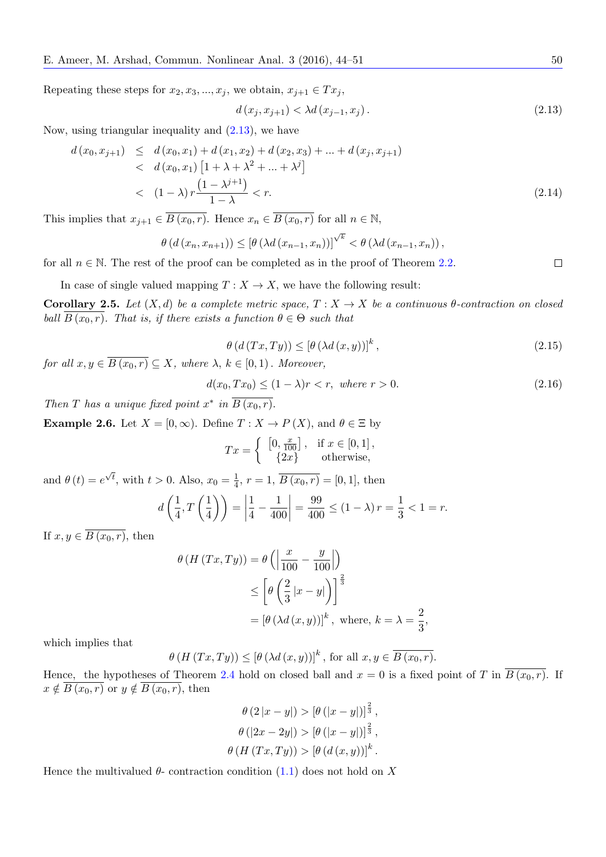Repeating these steps for  $x_2, x_3, \ldots, x_j$ , we obtain,  $x_{j+1} \in Tx_j$ ,

<span id="page-6-0"></span>
$$
d(x_j, x_{j+1}) < \lambda d(x_{j-1}, x_j).
$$
\n(2.13)

Now, using triangular inequality and  $(2.13)$ , we have

$$
d(x_0, x_{j+1}) \le d(x_0, x_1) + d(x_1, x_2) + d(x_2, x_3) + \dots + d(x_j, x_{j+1})
$$
  
< 
$$
< d(x_0, x_1) [1 + \lambda + \lambda^2 + \dots + \lambda^j]
$$
  
< 
$$
< (1 - \lambda) r \frac{(1 - \lambda^{j+1})}{1 - \lambda} < r.
$$
 (2.14)

This implies that  $x_{j+1} \in \overline{B(x_0, r)}$ . Hence  $x_n \in \overline{B(x_0, r)}$  for all  $n \in \mathbb{N}$ ,

$$
\theta\left(d\left(x_n,x_{n+1}\right)\right) \leq \left[\theta\left(\lambda d\left(x_{n-1},x_n\right)\right)\right]^{\sqrt{k}} < \theta\left(\lambda d\left(x_{n-1},x_n\right)\right),
$$

for all  $n \in \mathbb{N}$ . The rest of the proof can be completed as in the proof of Theorem 2.2.  $\Box$ 

In case of single valued mapping  $T : X \to X$ , we have the following result:

**Corollary 2.5.** Let  $(X,d)$  be a complete metric space,  $T: X \to X$  be a continuous  $\theta$ -contraction on closed *ball*  $B(x_0, r)$ *. That is, if there exists a function*  $\theta \in \Theta$  *such that* 

$$
\theta\left(d\left(Tx,Ty\right)\right) \leq \left[\theta\left(\lambda d\left(x,y\right)\right)\right]^k,\tag{2.15}
$$

*for all*  $x, y \in \overline{B(x_0, r)} \subseteq X$ *, where*  $\lambda, k \in [0, 1)$ *. Moreover,* 

$$
d(x_0, Tx_0) \le (1 - \lambda)r < r, \text{ where } r > 0. \tag{2.16}
$$

*Then T* has a unique fixed point  $x^*$  in  $B(x_0, r)$ .

**Example 2.6.** Let  $X = [0, \infty)$ . Define  $T : X \to P(X)$ , and  $\theta \in \Xi$  by

$$
Tx = \begin{cases} [0, \frac{x}{100}], & \text{if } x \in [0, 1], \\ {2x} & \text{otherwise}, \end{cases}
$$

and  $\theta(t) = e^{\sqrt{t}}$ , with  $t > 0$ . Also,  $x_0 = \frac{1}{4}$  $\frac{1}{4}$ ,  $r = 1$ ,  $B(x_0, r) = [0, 1]$ , then

$$
d\left(\frac{1}{4}, T\left(\frac{1}{4}\right)\right) = \left|\frac{1}{4} - \frac{1}{400}\right| = \frac{99}{400} \le (1 - \lambda)r = \frac{1}{3} < 1 = r.
$$

If  $x, y \in \overline{B(x_0, r)}$ , then

$$
\theta (H (Tx, Ty)) = \theta \left( \left| \frac{x}{100} - \frac{y}{100} \right| \right)
$$
  
\n
$$
\leq \left[ \theta \left( \frac{2}{3} |x - y| \right) \right]^{\frac{2}{3}}
$$
  
\n
$$
= \left[ \theta \left( \lambda d (x, y) \right) \right]^k, \text{ where, } k = \lambda = \frac{2}{3},
$$

which implies that

$$
\theta(H(Tx,Ty)) \leq [\theta(\lambda d(x,y))]^{k}, \text{ for all } x, y \in \overline{B(x_0,r)}.
$$

Hence, the hypotheses of Theorem 2.4 hold on closed ball and  $x = 0$  is a fixed point of *T* in  $\overline{B(x_0, r)}$ . If  $x \notin \overline{B(x_0,r)}$  or  $y \notin \overline{B(x_0,r)}$ , then

$$
\theta (2|x - y|) > [\theta (|x - y|)]^{\frac{2}{3}},
$$

$$
\theta (|2x - 2y|) > [\theta (|x - y|)]^{\frac{2}{3}},
$$

$$
\theta (H (Tx, Ty)) > [\theta (d (x, y))]^{k}.
$$

Hence the multivalued  $\theta$ - contraction condition (1.1) does not hold on X